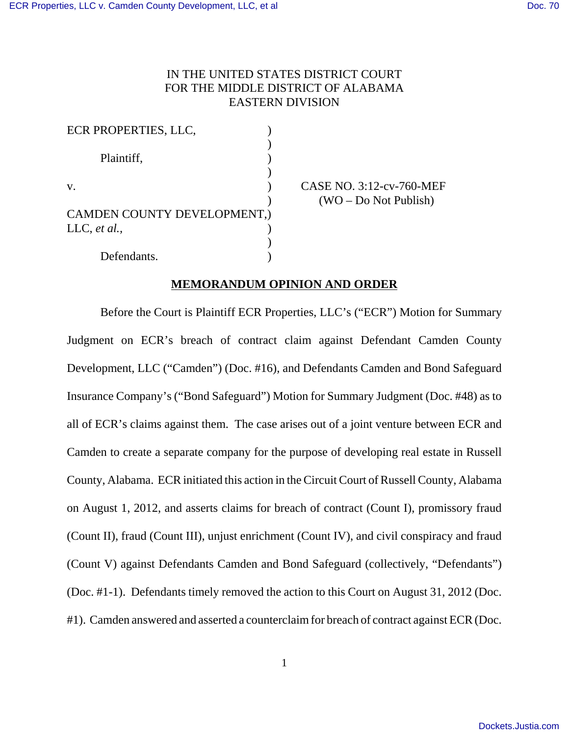# IN THE UNITED STATES DISTRICT COURT FOR THE MIDDLE DISTRICT OF ALABAMA EASTERN DIVISION

| ECR PROPERTIES, LLC,        |  |
|-----------------------------|--|
| Plaintiff,                  |  |
|                             |  |
| $V_{\cdot}$                 |  |
|                             |  |
| CAMDEN COUNTY DEVELOPMENT.) |  |
| LLC, et al.,                |  |
|                             |  |

CASE NO. 3:12-cv-760-MEF ) (WO – Do Not Publish)

Defendants.

# **MEMORANDUM OPINION AND ORDER**

Before the Court is Plaintiff ECR Properties, LLC's ("ECR") Motion for Summary Judgment on ECR's breach of contract claim against Defendant Camden County Development, LLC ("Camden") (Doc. #16), and Defendants Camden and Bond Safeguard Insurance Company's ("Bond Safeguard") Motion for Summary Judgment (Doc. #48) as to all of ECR's claims against them. The case arises out of a joint venture between ECR and Camden to create a separate company for the purpose of developing real estate in Russell County, Alabama. ECR initiated this action in the Circuit Court of Russell County, Alabama on August 1, 2012, and asserts claims for breach of contract (Count I), promissory fraud (Count II), fraud (Count III), unjust enrichment (Count IV), and civil conspiracy and fraud (Count V) against Defendants Camden and Bond Safeguard (collectively, "Defendants") (Doc. #1-1). Defendants timely removed the action to this Court on August 31, 2012 (Doc. #1). Camden answered and asserted a counterclaim for breach of contract against ECR (Doc.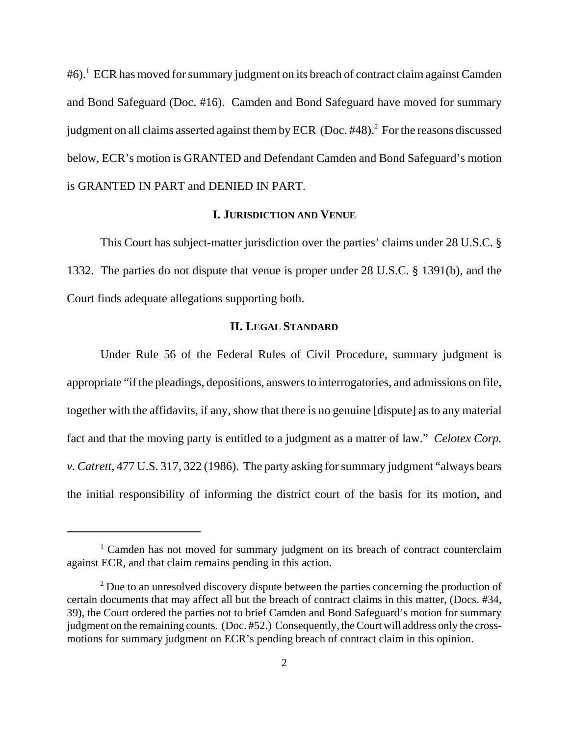#6).<sup>1</sup> ECR has moved for summary judgment on its breach of contract claim against Camden and Bond Safeguard (Doc. #16). Camden and Bond Safeguard have moved for summary judgment on all claims asserted against them by ECR (Doc. #48).<sup>2</sup> For the reasons discussed below, ECR's motion is GRANTED and Defendant Camden and Bond Safeguard's motion is GRANTED IN PART and DENIED IN PART.

# **I. JURISDICTION AND VENUE**

This Court has subject-matter jurisdiction over the parties' claims under 28 U.S.C. § 1332. The parties do not dispute that venue is proper under 28 U.S.C. § 1391(b), and the Court finds adequate allegations supporting both.

# **II. LEGAL STANDARD**

Under Rule 56 of the Federal Rules of Civil Procedure, summary judgment is appropriate "if the pleadings, depositions, answers to interrogatories, and admissions on file, together with the affidavits, if any, show that there is no genuine [dispute] as to any material fact and that the moving party is entitled to a judgment as a matter of law." *Celotex Corp. v. Catrett*, 477 U.S. 317, 322 (1986). The party asking for summary judgment "always bears the initial responsibility of informing the district court of the basis for its motion, and

<sup>&</sup>lt;sup>1</sup> Camden has not moved for summary judgment on its breach of contract counterclaim against ECR, and that claim remains pending in this action.

<sup>&</sup>lt;sup>2</sup> Due to an unresolved discovery dispute between the parties concerning the production of certain documents that may affect all but the breach of contract claims in this matter, (Docs. #34, 39), the Court ordered the parties not to brief Camden and Bond Safeguard's motion for summary judgment on the remaining counts. (Doc. #52.) Consequently, the Court will address only the crossmotions for summary judgment on ECR's pending breach of contract claim in this opinion.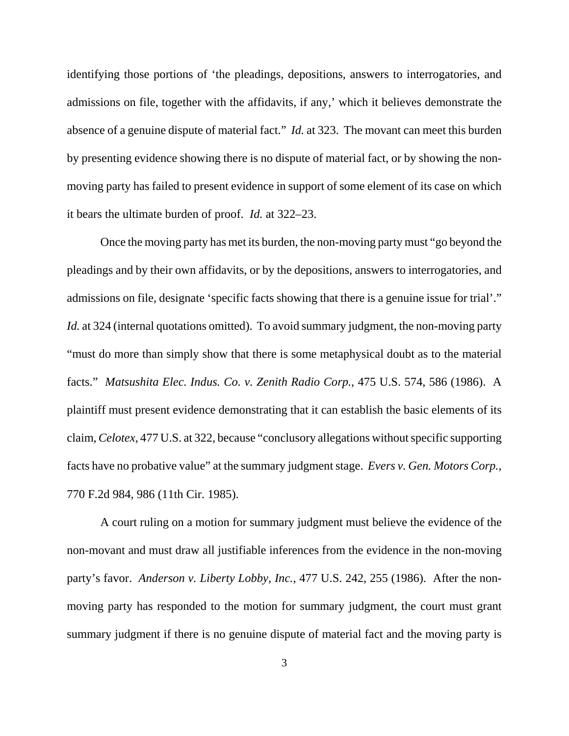identifying those portions of 'the pleadings, depositions, answers to interrogatories, and admissions on file, together with the affidavits, if any,' which it believes demonstrate the absence of a genuine dispute of material fact." *Id.* at 323. The movant can meet this burden by presenting evidence showing there is no dispute of material fact, or by showing the nonmoving party has failed to present evidence in support of some element of its case on which it bears the ultimate burden of proof. *Id.* at 322–23.

Once the moving party has met its burden, the non-moving party must "go beyond the pleadings and by their own affidavits, or by the depositions, answers to interrogatories, and admissions on file, designate 'specific facts showing that there is a genuine issue for trial'." *Id.* at 324 (internal quotations omitted). To avoid summary judgment, the non-moving party "must do more than simply show that there is some metaphysical doubt as to the material facts." *Matsushita Elec. Indus. Co. v. Zenith Radio Corp.*, 475 U.S. 574, 586 (1986). A plaintiff must present evidence demonstrating that it can establish the basic elements of its claim, *Celotex*, 477 U.S. at 322, because "conclusory allegations without specific supporting facts have no probative value" at the summary judgment stage. *Evers v. Gen. Motors Corp.*, 770 F.2d 984, 986 (11th Cir. 1985).

A court ruling on a motion for summary judgment must believe the evidence of the non-movant and must draw all justifiable inferences from the evidence in the non-moving party's favor. *Anderson v. Liberty Lobby, Inc.*, 477 U.S. 242, 255 (1986). After the nonmoving party has responded to the motion for summary judgment, the court must grant summary judgment if there is no genuine dispute of material fact and the moving party is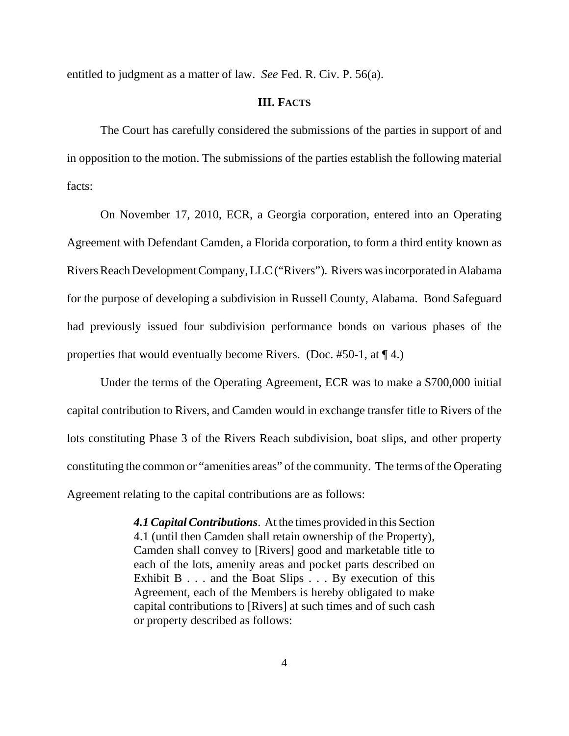entitled to judgment as a matter of law. *See* Fed. R. Civ. P. 56(a).

# **III. FACTS**

The Court has carefully considered the submissions of the parties in support of and in opposition to the motion. The submissions of the parties establish the following material facts:

On November 17, 2010, ECR, a Georgia corporation, entered into an Operating Agreement with Defendant Camden, a Florida corporation, to form a third entity known as Rivers Reach Development Company, LLC ("Rivers"). Rivers was incorporated in Alabama for the purpose of developing a subdivision in Russell County, Alabama. Bond Safeguard had previously issued four subdivision performance bonds on various phases of the properties that would eventually become Rivers. (Doc.  $#50-1$ , at  $\P$  4.)

Under the terms of the Operating Agreement, ECR was to make a \$700,000 initial capital contribution to Rivers, and Camden would in exchange transfer title to Rivers of the lots constituting Phase 3 of the Rivers Reach subdivision, boat slips, and other property constituting the common or "amenities areas" of the community. The terms of the Operating Agreement relating to the capital contributions are as follows:

> *4.1 Capital Contributions*. At the times provided in this Section 4.1 (until then Camden shall retain ownership of the Property), Camden shall convey to [Rivers] good and marketable title to each of the lots, amenity areas and pocket parts described on Exhibit B . . . and the Boat Slips . . . By execution of this Agreement, each of the Members is hereby obligated to make capital contributions to [Rivers] at such times and of such cash or property described as follows: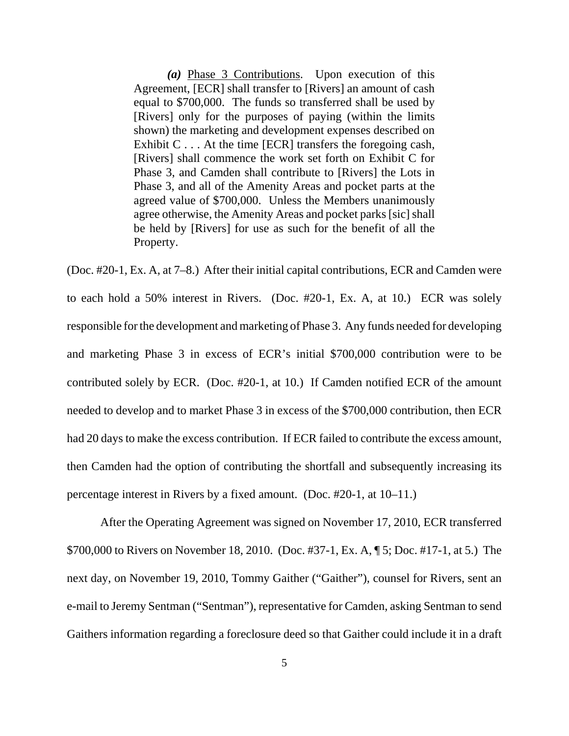*(a)* Phase 3 Contributions. Upon execution of this Agreement, [ECR] shall transfer to [Rivers] an amount of cash equal to \$700,000. The funds so transferred shall be used by [Rivers] only for the purposes of paying (within the limits shown) the marketing and development expenses described on Exhibit C . . . At the time [ECR] transfers the foregoing cash, [Rivers] shall commence the work set forth on Exhibit C for Phase 3, and Camden shall contribute to [Rivers] the Lots in Phase 3, and all of the Amenity Areas and pocket parts at the agreed value of \$700,000. Unless the Members unanimously agree otherwise, the Amenity Areas and pocket parks [sic] shall be held by [Rivers] for use as such for the benefit of all the Property.

(Doc. #20-1, Ex. A, at 7–8.) After their initial capital contributions, ECR and Camden were to each hold a 50% interest in Rivers. (Doc. #20-1, Ex. A, at 10.) ECR was solely responsible for the development and marketing of Phase 3. Any funds needed for developing and marketing Phase 3 in excess of ECR's initial \$700,000 contribution were to be contributed solely by ECR. (Doc. #20-1, at 10.) If Camden notified ECR of the amount needed to develop and to market Phase 3 in excess of the \$700,000 contribution, then ECR had 20 days to make the excess contribution. If ECR failed to contribute the excess amount, then Camden had the option of contributing the shortfall and subsequently increasing its percentage interest in Rivers by a fixed amount. (Doc. #20-1, at 10–11.)

After the Operating Agreement was signed on November 17, 2010, ECR transferred \$700,000 to Rivers on November 18, 2010. (Doc. #37-1, Ex. A, ¶ 5; Doc. #17-1, at 5.) The next day, on November 19, 2010, Tommy Gaither ("Gaither"), counsel for Rivers, sent an e-mail to Jeremy Sentman ("Sentman"), representative for Camden, asking Sentman to send Gaithers information regarding a foreclosure deed so that Gaither could include it in a draft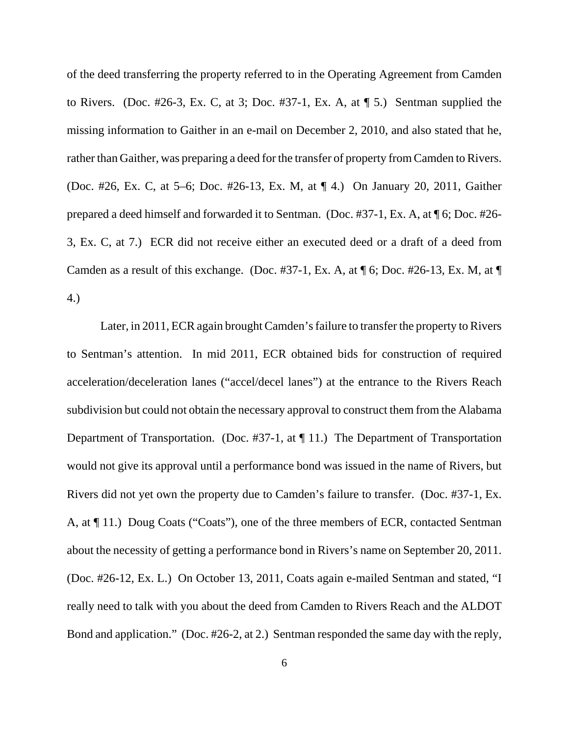of the deed transferring the property referred to in the Operating Agreement from Camden to Rivers. (Doc. #26-3, Ex. C, at 3; Doc. #37-1, Ex. A, at ¶ 5.) Sentman supplied the missing information to Gaither in an e-mail on December 2, 2010, and also stated that he, rather than Gaither, was preparing a deed for the transfer of property from Camden to Rivers. (Doc. #26, Ex. C, at 5–6; Doc. #26-13, Ex. M, at ¶ 4.) On January 20, 2011, Gaither prepared a deed himself and forwarded it to Sentman. (Doc. #37-1, Ex. A, at ¶ 6; Doc. #26- 3, Ex. C, at 7.) ECR did not receive either an executed deed or a draft of a deed from Camden as a result of this exchange. (Doc. #37-1, Ex. A, at  $\P$  6; Doc. #26-13, Ex. M, at  $\P$ 4.)

Later, in 2011, ECR again brought Camden's failure to transfer the property to Rivers to Sentman's attention. In mid 2011, ECR obtained bids for construction of required acceleration/deceleration lanes ("accel/decel lanes") at the entrance to the Rivers Reach subdivision but could not obtain the necessary approval to construct them from the Alabama Department of Transportation. (Doc. #37-1, at ¶ 11.) The Department of Transportation would not give its approval until a performance bond was issued in the name of Rivers, but Rivers did not yet own the property due to Camden's failure to transfer. (Doc. #37-1, Ex. A, at ¶ 11.) Doug Coats ("Coats"), one of the three members of ECR, contacted Sentman about the necessity of getting a performance bond in Rivers's name on September 20, 2011. (Doc. #26-12, Ex. L.) On October 13, 2011, Coats again e-mailed Sentman and stated, "I really need to talk with you about the deed from Camden to Rivers Reach and the ALDOT Bond and application." (Doc. #26-2, at 2.) Sentman responded the same day with the reply,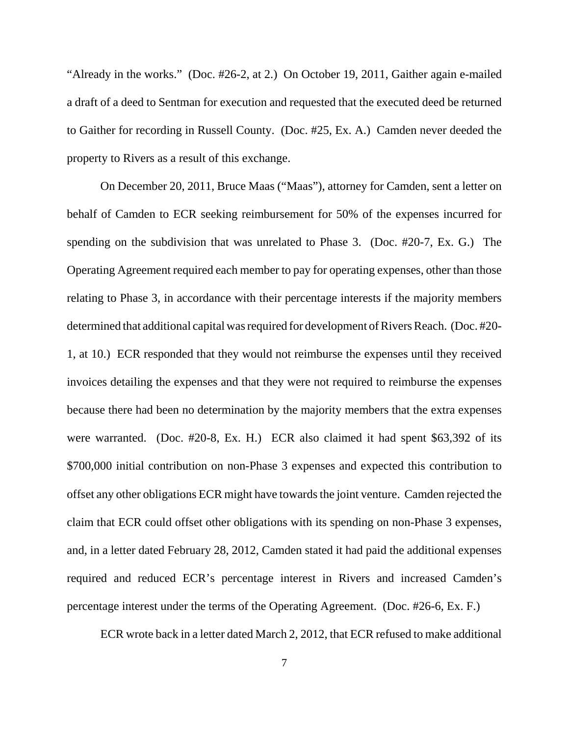"Already in the works." (Doc. #26-2, at 2.) On October 19, 2011, Gaither again e-mailed a draft of a deed to Sentman for execution and requested that the executed deed be returned to Gaither for recording in Russell County. (Doc. #25, Ex. A.) Camden never deeded the property to Rivers as a result of this exchange.

On December 20, 2011, Bruce Maas ("Maas"), attorney for Camden, sent a letter on behalf of Camden to ECR seeking reimbursement for 50% of the expenses incurred for spending on the subdivision that was unrelated to Phase 3. (Doc. #20-7, Ex. G.) The Operating Agreement required each member to pay for operating expenses, other than those relating to Phase 3, in accordance with their percentage interests if the majority members determined that additional capital was required for development of Rivers Reach. (Doc. #20- 1, at 10.) ECR responded that they would not reimburse the expenses until they received invoices detailing the expenses and that they were not required to reimburse the expenses because there had been no determination by the majority members that the extra expenses were warranted. (Doc. #20-8, Ex. H.) ECR also claimed it had spent \$63,392 of its \$700,000 initial contribution on non-Phase 3 expenses and expected this contribution to offset any other obligations ECR might have towards the joint venture. Camden rejected the claim that ECR could offset other obligations with its spending on non-Phase 3 expenses, and, in a letter dated February 28, 2012, Camden stated it had paid the additional expenses required and reduced ECR's percentage interest in Rivers and increased Camden's percentage interest under the terms of the Operating Agreement. (Doc. #26-6, Ex. F.)

ECR wrote back in a letter dated March 2, 2012, that ECR refused to make additional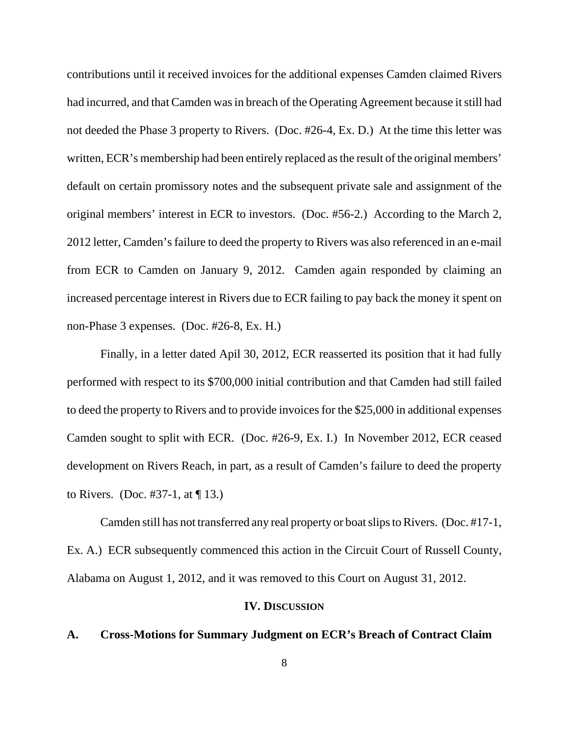contributions until it received invoices for the additional expenses Camden claimed Rivers had incurred, and that Camden was in breach of the Operating Agreement because it still had not deeded the Phase 3 property to Rivers. (Doc. #26-4, Ex. D.) At the time this letter was written, ECR's membership had been entirely replaced as the result of the original members' default on certain promissory notes and the subsequent private sale and assignment of the original members' interest in ECR to investors. (Doc. #56-2.) According to the March 2, 2012 letter, Camden's failure to deed the property to Rivers was also referenced in an e-mail from ECR to Camden on January 9, 2012. Camden again responded by claiming an increased percentage interest in Rivers due to ECR failing to pay back the money it spent on non-Phase 3 expenses. (Doc. #26-8, Ex. H.)

Finally, in a letter dated Apil 30, 2012, ECR reasserted its position that it had fully performed with respect to its \$700,000 initial contribution and that Camden had still failed to deed the property to Rivers and to provide invoices for the \$25,000 in additional expenses Camden sought to split with ECR. (Doc. #26-9, Ex. I.) In November 2012, ECR ceased development on Rivers Reach, in part, as a result of Camden's failure to deed the property to Rivers. (Doc. #37-1, at  $\P$  13.)

Camden still has not transferred any real property or boat slips to Rivers. (Doc. #17-1, Ex. A.) ECR subsequently commenced this action in the Circuit Court of Russell County, Alabama on August 1, 2012, and it was removed to this Court on August 31, 2012.

#### **IV. DISCUSSION**

# **A. Cross-Motions for Summary Judgment on ECR's Breach of Contract Claim**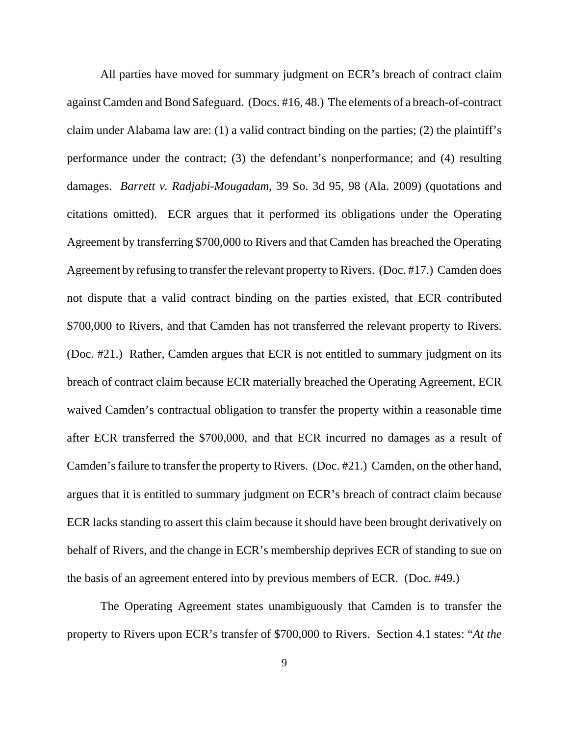All parties have moved for summary judgment on ECR's breach of contract claim against Camden and Bond Safeguard. (Docs. #16, 48.) The elements of a breach-of-contract claim under Alabama law are: (1) a valid contract binding on the parties; (2) the plaintiff's performance under the contract; (3) the defendant's nonperformance; and (4) resulting damages. *Barrett v. Radjabi-Mougadam*, 39 So. 3d 95, 98 (Ala. 2009) (quotations and citations omitted). ECR argues that it performed its obligations under the Operating Agreement by transferring \$700,000 to Rivers and that Camden has breached the Operating Agreement by refusing to transfer the relevant property to Rivers. (Doc. #17.) Camden does not dispute that a valid contract binding on the parties existed, that ECR contributed \$700,000 to Rivers, and that Camden has not transferred the relevant property to Rivers. (Doc. #21.) Rather, Camden argues that ECR is not entitled to summary judgment on its breach of contract claim because ECR materially breached the Operating Agreement, ECR waived Camden's contractual obligation to transfer the property within a reasonable time after ECR transferred the \$700,000, and that ECR incurred no damages as a result of Camden's failure to transfer the property to Rivers. (Doc. #21.) Camden, on the other hand, argues that it is entitled to summary judgment on ECR's breach of contract claim because ECR lacks standing to assert this claim because it should have been brought derivatively on behalf of Rivers, and the change in ECR's membership deprives ECR of standing to sue on the basis of an agreement entered into by previous members of ECR. (Doc. #49.)

The Operating Agreement states unambiguously that Camden is to transfer the property to Rivers upon ECR's transfer of \$700,000 to Rivers. Section 4.1 states: "*At the*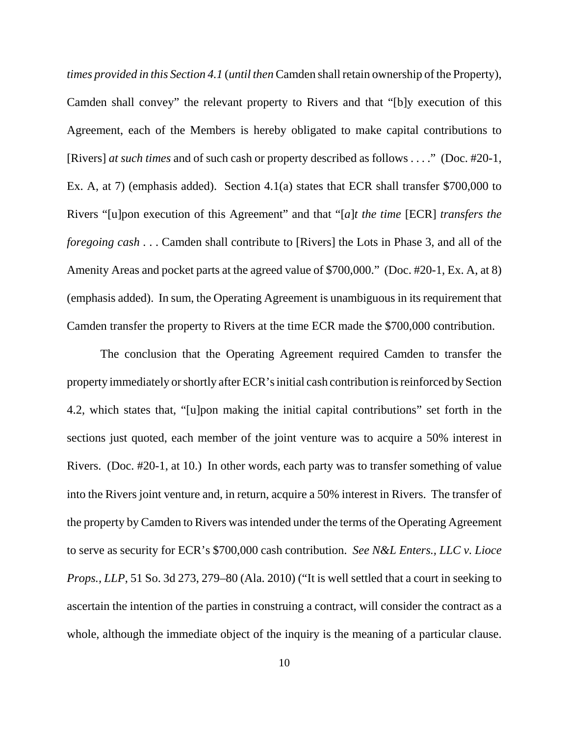*times provided in this Section 4.1* (*until then* Camden shall retain ownership of the Property), Camden shall convey" the relevant property to Rivers and that "[b]y execution of this Agreement, each of the Members is hereby obligated to make capital contributions to [Rivers] *at such times* and of such cash or property described as follows . . . ." (Doc. #20-1, Ex. A, at 7) (emphasis added). Section 4.1(a) states that ECR shall transfer \$700,000 to Rivers "[u]pon execution of this Agreement" and that "[*a*]*t the time* [ECR] *transfers the foregoing cash* . . . Camden shall contribute to [Rivers] the Lots in Phase 3, and all of the Amenity Areas and pocket parts at the agreed value of \$700,000." (Doc. #20-1, Ex. A, at 8) (emphasis added). In sum, the Operating Agreement is unambiguous in its requirement that Camden transfer the property to Rivers at the time ECR made the \$700,000 contribution.

The conclusion that the Operating Agreement required Camden to transfer the property immediately or shortly after ECR's initial cash contribution is reinforced by Section 4.2, which states that, "[u]pon making the initial capital contributions" set forth in the sections just quoted, each member of the joint venture was to acquire a 50% interest in Rivers. (Doc. #20-1, at 10.) In other words, each party was to transfer something of value into the Rivers joint venture and, in return, acquire a 50% interest in Rivers. The transfer of the property by Camden to Rivers was intended under the terms of the Operating Agreement to serve as security for ECR's \$700,000 cash contribution. *See N&L Enters., LLC v. Lioce Props., LLP*, 51 So. 3d 273, 279–80 (Ala. 2010) ("It is well settled that a court in seeking to ascertain the intention of the parties in construing a contract, will consider the contract as a whole, although the immediate object of the inquiry is the meaning of a particular clause.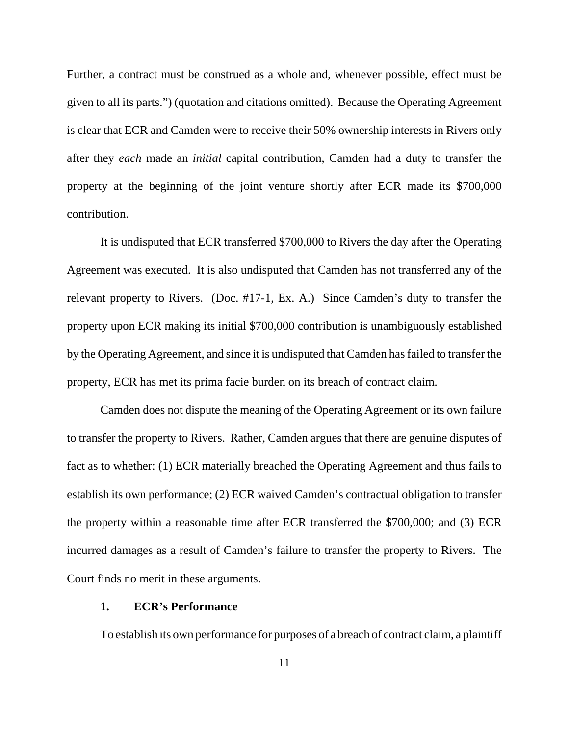Further, a contract must be construed as a whole and, whenever possible, effect must be given to all its parts.") (quotation and citations omitted). Because the Operating Agreement is clear that ECR and Camden were to receive their 50% ownership interests in Rivers only after they *each* made an *initial* capital contribution, Camden had a duty to transfer the property at the beginning of the joint venture shortly after ECR made its \$700,000 contribution.

It is undisputed that ECR transferred \$700,000 to Rivers the day after the Operating Agreement was executed. It is also undisputed that Camden has not transferred any of the relevant property to Rivers. (Doc. #17-1, Ex. A.) Since Camden's duty to transfer the property upon ECR making its initial \$700,000 contribution is unambiguously established by the Operating Agreement, and since it is undisputed that Camden has failed to transfer the property, ECR has met its prima facie burden on its breach of contract claim.

Camden does not dispute the meaning of the Operating Agreement or its own failure to transfer the property to Rivers. Rather, Camden argues that there are genuine disputes of fact as to whether: (1) ECR materially breached the Operating Agreement and thus fails to establish its own performance; (2) ECR waived Camden's contractual obligation to transfer the property within a reasonable time after ECR transferred the \$700,000; and (3) ECR incurred damages as a result of Camden's failure to transfer the property to Rivers.The Court finds no merit in these arguments.

#### **1. ECR's Performance**

To establish its own performance for purposes of a breach of contract claim, a plaintiff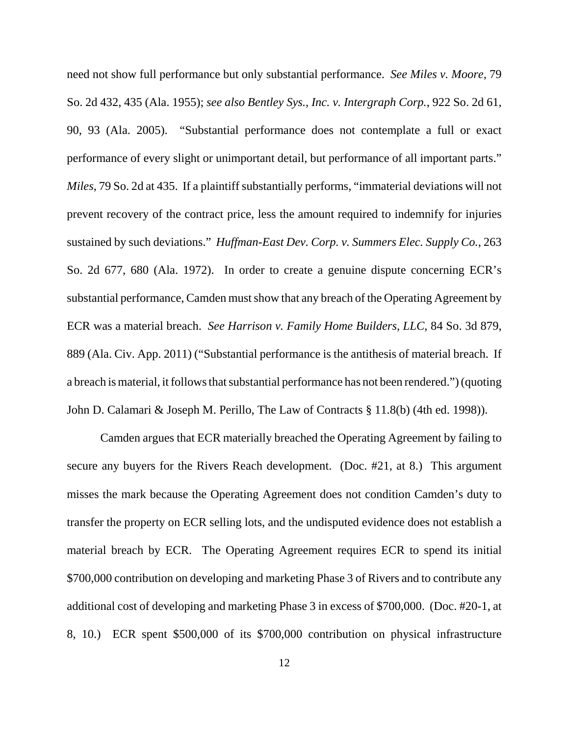need not show full performance but only substantial performance. *See Miles v. Moore*, 79 So. 2d 432, 435 (Ala. 1955); *see also Bentley Sys., Inc. v. Intergraph Corp.*, 922 So. 2d 61, 90, 93 (Ala. 2005). "Substantial performance does not contemplate a full or exact performance of every slight or unimportant detail, but performance of all important parts." *Miles*, 79 So. 2d at 435. If a plaintiff substantially performs, "immaterial deviations will not prevent recovery of the contract price, less the amount required to indemnify for injuries sustained by such deviations." *Huffman-East Dev. Corp. v. Summers Elec. Supply Co.*, 263 So. 2d 677, 680 (Ala. 1972). In order to create a genuine dispute concerning ECR's substantial performance, Camden must show that any breach of the Operating Agreement by ECR was a material breach. *See Harrison v. Family Home Builders, LLC*, 84 So. 3d 879, 889 (Ala. Civ. App. 2011) ("Substantial performance is the antithesis of material breach. If a breach is material, it follows that substantial performance has not been rendered.") (quoting John D. Calamari & Joseph M. Perillo, The Law of Contracts § 11.8(b) (4th ed. 1998)).

Camden argues that ECR materially breached the Operating Agreement by failing to secure any buyers for the Rivers Reach development. (Doc. #21, at 8.) This argument misses the mark because the Operating Agreement does not condition Camden's duty to transfer the property on ECR selling lots, and the undisputed evidence does not establish a material breach by ECR. The Operating Agreement requires ECR to spend its initial \$700,000 contribution on developing and marketing Phase 3 of Rivers and to contribute any additional cost of developing and marketing Phase 3 in excess of \$700,000. (Doc. #20-1, at 8, 10.) ECR spent \$500,000 of its \$700,000 contribution on physical infrastructure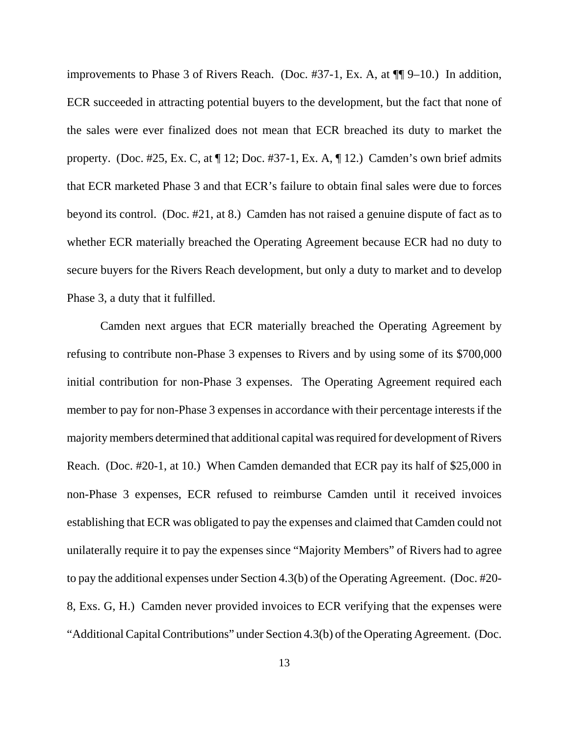improvements to Phase 3 of Rivers Reach. (Doc. #37-1, Ex. A, at ¶¶ 9–10.) In addition, ECR succeeded in attracting potential buyers to the development, but the fact that none of the sales were ever finalized does not mean that ECR breached its duty to market the property. (Doc. #25, Ex. C, at  $\P$  12; Doc. #37-1, Ex. A,  $\P$  12.) Camden's own brief admits that ECR marketed Phase 3 and that ECR's failure to obtain final sales were due to forces beyond its control. (Doc. #21, at 8.) Camden has not raised a genuine dispute of fact as to whether ECR materially breached the Operating Agreement because ECR had no duty to secure buyers for the Rivers Reach development, but only a duty to market and to develop Phase 3, a duty that it fulfilled.

Camden next argues that ECR materially breached the Operating Agreement by refusing to contribute non-Phase 3 expenses to Rivers and by using some of its \$700,000 initial contribution for non-Phase 3 expenses. The Operating Agreement required each member to pay for non-Phase 3 expenses in accordance with their percentage interests if the majority members determined that additional capital was required for development of Rivers Reach. (Doc. #20-1, at 10.) When Camden demanded that ECR pay its half of \$25,000 in non-Phase 3 expenses, ECR refused to reimburse Camden until it received invoices establishing that ECR was obligated to pay the expenses and claimed that Camden could not unilaterally require it to pay the expenses since "Majority Members" of Rivers had to agree to pay the additional expenses under Section 4.3(b) of the Operating Agreement. (Doc. #20- 8, Exs. G, H.) Camden never provided invoices to ECR verifying that the expenses were "Additional Capital Contributions" under Section 4.3(b) of the Operating Agreement. (Doc.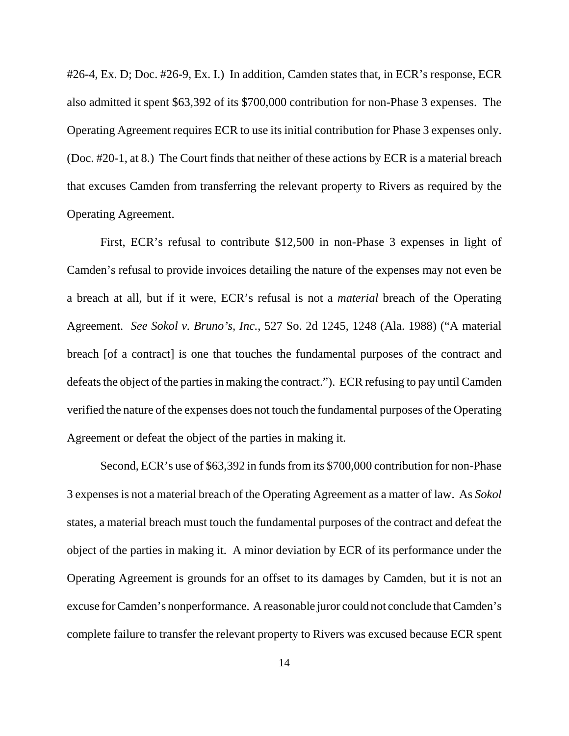#26-4, Ex. D; Doc. #26-9, Ex. I.) In addition, Camden states that, in ECR's response, ECR also admitted it spent \$63,392 of its \$700,000 contribution for non-Phase 3 expenses. The Operating Agreement requires ECR to use its initial contribution for Phase 3 expenses only. (Doc. #20-1, at 8.) The Court finds that neither of these actions by ECR is a material breach that excuses Camden from transferring the relevant property to Rivers as required by the Operating Agreement.

First, ECR's refusal to contribute \$12,500 in non-Phase 3 expenses in light of Camden's refusal to provide invoices detailing the nature of the expenses may not even be a breach at all, but if it were, ECR's refusal is not a *material* breach of the Operating Agreement. *See Sokol v. Bruno's, Inc.*, 527 So. 2d 1245, 1248 (Ala. 1988) ("A material breach [of a contract] is one that touches the fundamental purposes of the contract and defeats the object of the parties in making the contract."). ECR refusing to pay until Camden verified the nature of the expenses does not touch the fundamental purposes of the Operating Agreement or defeat the object of the parties in making it.

Second, ECR's use of \$63,392 in funds from its \$700,000 contribution for non-Phase 3 expenses is not a material breach of the Operating Agreement as a matter of law. As *Sokol* states, a material breach must touch the fundamental purposes of the contract and defeat the object of the parties in making it. A minor deviation by ECR of its performance under the Operating Agreement is grounds for an offset to its damages by Camden, but it is not an excuse for Camden's nonperformance. A reasonable juror could not conclude that Camden's complete failure to transfer the relevant property to Rivers was excused because ECR spent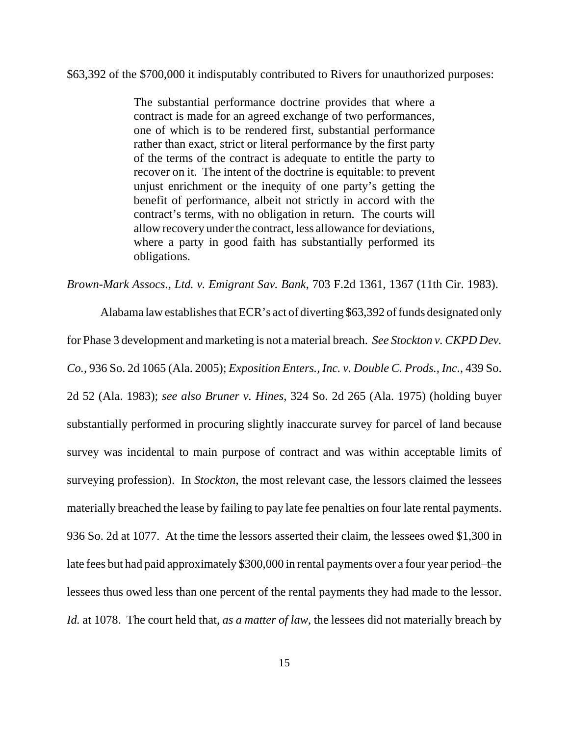\$63,392 of the \$700,000 it indisputably contributed to Rivers for unauthorized purposes:

The substantial performance doctrine provides that where a contract is made for an agreed exchange of two performances, one of which is to be rendered first, substantial performance rather than exact, strict or literal performance by the first party of the terms of the contract is adequate to entitle the party to recover on it. The intent of the doctrine is equitable: to prevent unjust enrichment or the inequity of one party's getting the benefit of performance, albeit not strictly in accord with the contract's terms, with no obligation in return. The courts will allow recovery under the contract, less allowance for deviations, where a party in good faith has substantially performed its obligations.

*Brown-Mark Assocs., Ltd. v. Emigrant Sav. Bank*, 703 F.2d 1361, 1367 (11th Cir. 1983).

Alabama law establishes that ECR's act of diverting \$63,392 of funds designated only for Phase 3 development and marketing is not a material breach. *See Stockton v. CKPD Dev. Co.*, 936 So. 2d 1065 (Ala. 2005); *Exposition Enters., Inc. v. Double C. Prods., Inc.*, 439 So. 2d 52 (Ala. 1983); *see also Bruner v. Hines*, 324 So. 2d 265 (Ala. 1975) (holding buyer substantially performed in procuring slightly inaccurate survey for parcel of land because survey was incidental to main purpose of contract and was within acceptable limits of surveying profession). In *Stockton*, the most relevant case, the lessors claimed the lessees materially breached the lease by failing to pay late fee penalties on four late rental payments. 936 So. 2d at 1077. At the time the lessors asserted their claim, the lessees owed \$1,300 in late fees but had paid approximately \$300,000 in rental payments over a four year period–the lessees thus owed less than one percent of the rental payments they had made to the lessor. *Id.* at 1078. The court held that, *as a matter of law*, the lessees did not materially breach by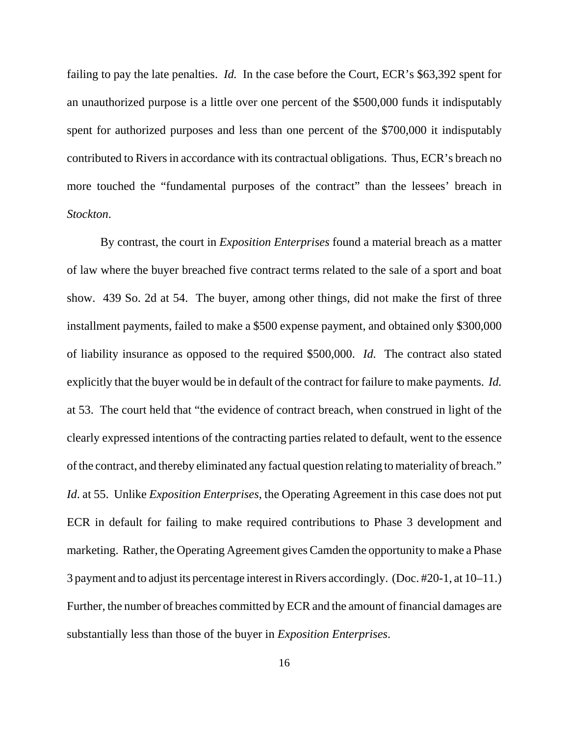failing to pay the late penalties. *Id.* In the case before the Court, ECR's \$63,392 spent for an unauthorized purpose is a little over one percent of the \$500,000 funds it indisputably spent for authorized purposes and less than one percent of the \$700,000 it indisputably contributed to Rivers in accordance with its contractual obligations. Thus, ECR's breach no more touched the "fundamental purposes of the contract" than the lessees' breach in *Stockton*.

By contrast, the court in *Exposition Enterprises* found a material breach as a matter of law where the buyer breached five contract terms related to the sale of a sport and boat show. 439 So. 2d at 54. The buyer, among other things, did not make the first of three installment payments, failed to make a \$500 expense payment, and obtained only \$300,000 of liability insurance as opposed to the required \$500,000. *Id.* The contract also stated explicitly that the buyer would be in default of the contract for failure to make payments. *Id.* at 53. The court held that "the evidence of contract breach, when construed in light of the clearly expressed intentions of the contracting parties related to default, went to the essence of the contract, and thereby eliminated any factual question relating to materiality of breach." *Id*. at 55. Unlike *Exposition Enterprises*, the Operating Agreement in this case does not put ECR in default for failing to make required contributions to Phase 3 development and marketing. Rather, the Operating Agreement gives Camden the opportunity to make a Phase 3 payment and to adjust its percentage interest in Rivers accordingly. (Doc. #20-1, at 10–11.) Further, the number of breaches committed by ECR and the amount of financial damages are substantially less than those of the buyer in *Exposition Enterprises*.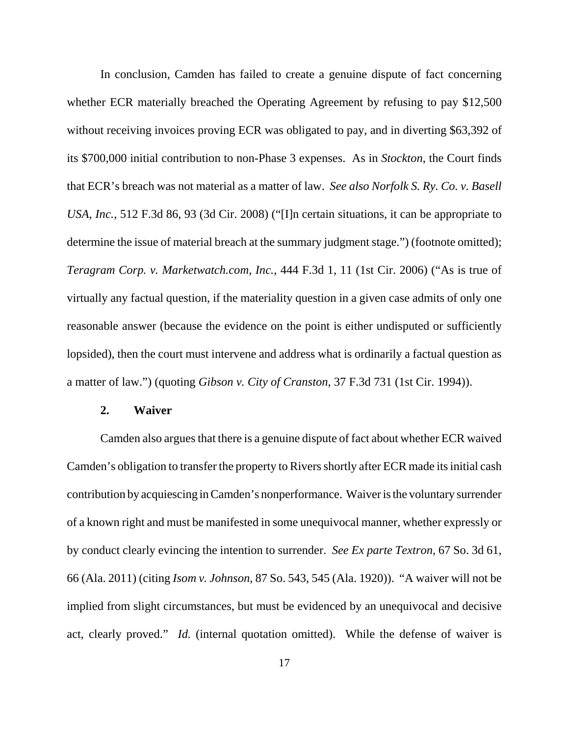In conclusion, Camden has failed to create a genuine dispute of fact concerning whether ECR materially breached the Operating Agreement by refusing to pay \$12,500 without receiving invoices proving ECR was obligated to pay, and in diverting \$63,392 of its \$700,000 initial contribution to non-Phase 3 expenses. As in *Stockton*, the Court finds that ECR's breach was not material as a matter of law. *See also Norfolk S. Ry. Co. v. Basell USA, Inc.*, 512 F.3d 86, 93 (3d Cir. 2008) ("[I]n certain situations, it can be appropriate to determine the issue of material breach at the summary judgment stage.") (footnote omitted); *Teragram Corp. v. Marketwatch.com, Inc.*, 444 F.3d 1, 11 (1st Cir. 2006) ("As is true of virtually any factual question, if the materiality question in a given case admits of only one reasonable answer (because the evidence on the point is either undisputed or sufficiently lopsided), then the court must intervene and address what is ordinarily a factual question as a matter of law.") (quoting *Gibson v. City of Cranston*, 37 F.3d 731 (1st Cir. 1994)).

#### **2. Waiver**

Camden also argues that there is a genuine dispute of fact about whether ECR waived Camden's obligation to transfer the property to Rivers shortly after ECR made its initial cash contribution by acquiescing in Camden's nonperformance. Waiver is the voluntary surrender of a known right and must be manifested in some unequivocal manner, whether expressly or by conduct clearly evincing the intention to surrender. *See Ex parte Textron*, 67 So. 3d 61, 66 (Ala. 2011) (citing *Isom v. Johnson*, 87 So. 543, 545 (Ala. 1920)). "A waiver will not be implied from slight circumstances, but must be evidenced by an unequivocal and decisive act, clearly proved." *Id.* (internal quotation omitted). While the defense of waiver is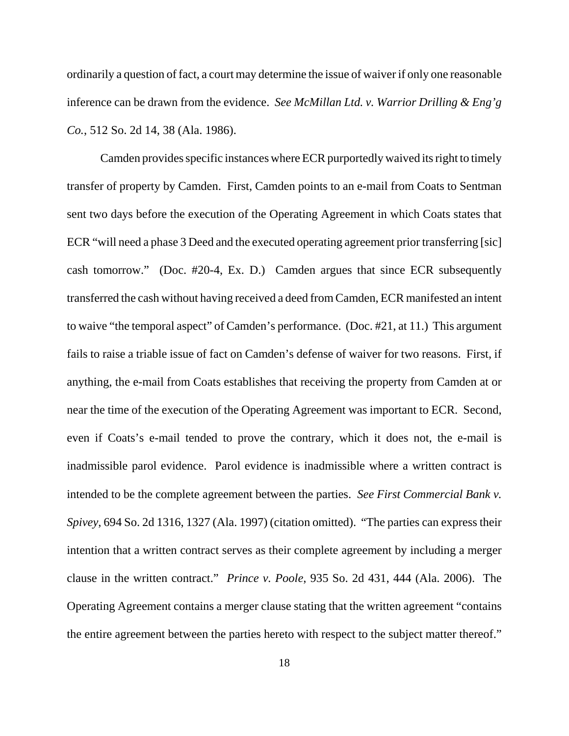ordinarily a question of fact, a court may determine the issue of waiver if only one reasonable inference can be drawn from the evidence. *See McMillan Ltd. v. Warrior Drilling & Eng'g Co.*, 512 So. 2d 14, 38 (Ala. 1986).

Camden provides specific instances where ECR purportedly waived its right to timely transfer of property by Camden. First, Camden points to an e-mail from Coats to Sentman sent two days before the execution of the Operating Agreement in which Coats states that ECR "will need a phase 3 Deed and the executed operating agreement prior transferring [sic] cash tomorrow." (Doc. #20-4, Ex. D.) Camden argues that since ECR subsequently transferred the cash without having received a deed from Camden, ECR manifested an intent to waive "the temporal aspect" of Camden's performance. (Doc. #21, at 11.) This argument fails to raise a triable issue of fact on Camden's defense of waiver for two reasons. First, if anything, the e-mail from Coats establishes that receiving the property from Camden at or near the time of the execution of the Operating Agreement was important to ECR. Second, even if Coats's e-mail tended to prove the contrary, which it does not, the e-mail is inadmissible parol evidence. Parol evidence is inadmissible where a written contract is intended to be the complete agreement between the parties. *See First Commercial Bank v. Spivey*, 694 So. 2d 1316, 1327 (Ala. 1997) (citation omitted). "The parties can express their intention that a written contract serves as their complete agreement by including a merger clause in the written contract." *Prince v. Poole*, 935 So. 2d 431, 444 (Ala. 2006). The Operating Agreement contains a merger clause stating that the written agreement "contains the entire agreement between the parties hereto with respect to the subject matter thereof."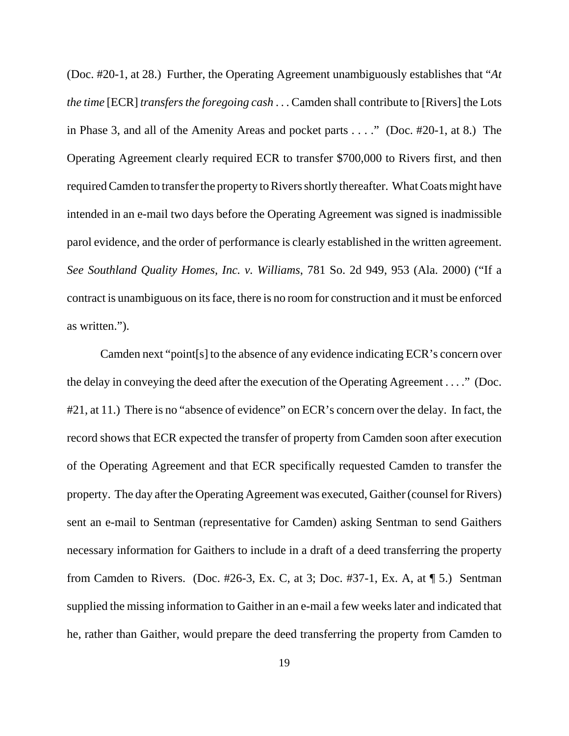(Doc. #20-1, at 28.) Further, the Operating Agreement unambiguously establishes that "*At the time* [ECR] *transfers the foregoing cash* . . . Camden shall contribute to [Rivers] the Lots in Phase 3, and all of the Amenity Areas and pocket parts . . . ." (Doc. #20-1, at 8.) The Operating Agreement clearly required ECR to transfer \$700,000 to Rivers first, and then required Camden to transfer the property to Rivers shortly thereafter. What Coats might have intended in an e-mail two days before the Operating Agreement was signed is inadmissible parol evidence, and the order of performance is clearly established in the written agreement. *See Southland Quality Homes, Inc. v. Williams*, 781 So. 2d 949, 953 (Ala. 2000) ("If a contract is unambiguous on its face, there is no room for construction and it must be enforced as written.").

Camden next "point[s] to the absence of any evidence indicating ECR's concern over the delay in conveying the deed after the execution of the Operating Agreement . . . ." (Doc. #21, at 11.) There is no "absence of evidence" on ECR's concern over the delay. In fact, the record shows that ECR expected the transfer of property from Camden soon after execution of the Operating Agreement and that ECR specifically requested Camden to transfer the property. The day after the Operating Agreement was executed, Gaither (counsel for Rivers) sent an e-mail to Sentman (representative for Camden) asking Sentman to send Gaithers necessary information for Gaithers to include in a draft of a deed transferring the property from Camden to Rivers. (Doc. #26-3, Ex. C, at 3; Doc. #37-1, Ex. A, at ¶ 5.) Sentman supplied the missing information to Gaither in an e-mail a few weeks later and indicated that he, rather than Gaither, would prepare the deed transferring the property from Camden to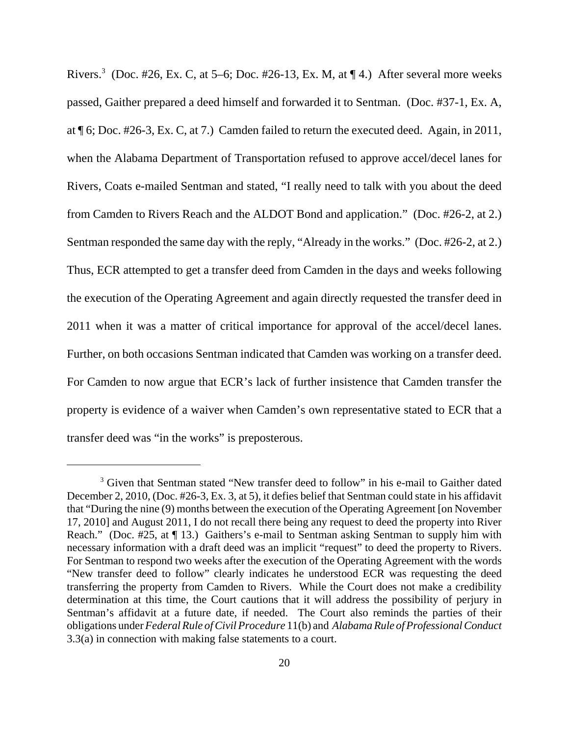Rivers.<sup>3</sup> (Doc. #26, Ex. C, at 5–6; Doc. #26-13, Ex. M, at  $\P$  4.) After several more weeks passed, Gaither prepared a deed himself and forwarded it to Sentman. (Doc. #37-1, Ex. A, at ¶ 6; Doc. #26-3, Ex. C, at 7.) Camden failed to return the executed deed. Again, in 2011, when the Alabama Department of Transportation refused to approve accel/decel lanes for Rivers, Coats e-mailed Sentman and stated, "I really need to talk with you about the deed from Camden to Rivers Reach and the ALDOT Bond and application." (Doc. #26-2, at 2.) Sentman responded the same day with the reply, "Already in the works." (Doc. #26-2, at 2.) Thus, ECR attempted to get a transfer deed from Camden in the days and weeks following the execution of the Operating Agreement and again directly requested the transfer deed in 2011 when it was a matter of critical importance for approval of the accel/decel lanes. Further, on both occasions Sentman indicated that Camden was working on a transfer deed. For Camden to now argue that ECR's lack of further insistence that Camden transfer the property is evidence of a waiver when Camden's own representative stated to ECR that a transfer deed was "in the works" is preposterous.

<sup>&</sup>lt;sup>3</sup> Given that Sentman stated "New transfer deed to follow" in his e-mail to Gaither dated December 2, 2010, (Doc. #26-3, Ex. 3, at 5), it defies belief that Sentman could state in his affidavit that "During the nine (9) months between the execution of the Operating Agreement [on November 17, 2010] and August 2011, I do not recall there being any request to deed the property into River Reach." (Doc. #25, at ¶ 13.) Gaithers's e-mail to Sentman asking Sentman to supply him with necessary information with a draft deed was an implicit "request" to deed the property to Rivers. For Sentman to respond two weeks after the execution of the Operating Agreement with the words "New transfer deed to follow" clearly indicates he understood ECR was requesting the deed transferring the property from Camden to Rivers. While the Court does not make a credibility determination at this time, the Court cautions that it will address the possibility of perjury in Sentman's affidavit at a future date, if needed. The Court also reminds the parties of their obligations under *Federal Rule of Civil Procedure* 11(b) and *Alabama Rule of Professional Conduct* 3.3(a) in connection with making false statements to a court.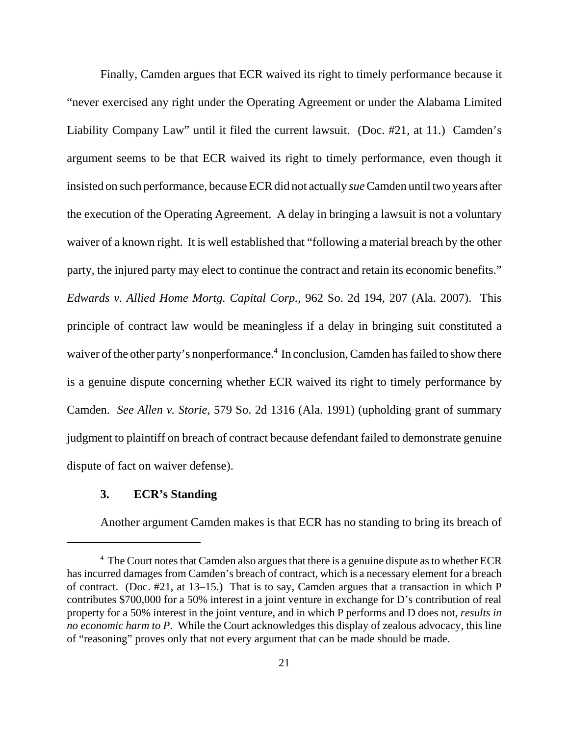Finally, Camden argues that ECR waived its right to timely performance because it "never exercised any right under the Operating Agreement or under the Alabama Limited Liability Company Law" until it filed the current lawsuit. (Doc. #21, at 11.) Camden's argument seems to be that ECR waived its right to timely performance, even though it insisted on such performance, because ECR did not actually *sue* Camden until two years after the execution of the Operating Agreement. A delay in bringing a lawsuit is not a voluntary waiver of a known right. It is well established that "following a material breach by the other party, the injured party may elect to continue the contract and retain its economic benefits." *Edwards v. Allied Home Mortg. Capital Corp.*, 962 So. 2d 194, 207 (Ala. 2007). This principle of contract law would be meaningless if a delay in bringing suit constituted a waiver of the other party's nonperformance.<sup>4</sup> In conclusion, Camden has failed to show there is a genuine dispute concerning whether ECR waived its right to timely performance by Camden. *See Allen v. Storie*, 579 So. 2d 1316 (Ala. 1991) (upholding grant of summary judgment to plaintiff on breach of contract because defendant failed to demonstrate genuine dispute of fact on waiver defense).

# **3. ECR's Standing**

Another argument Camden makes is that ECR has no standing to bring its breach of

<sup>&</sup>lt;sup>4</sup> The Court notes that Camden also argues that there is a genuine dispute as to whether ECR has incurred damages from Camden's breach of contract, which is a necessary element for a breach of contract. (Doc. #21, at 13–15.) That is to say, Camden argues that a transaction in which P contributes \$700,000 for a 50% interest in a joint venture in exchange for D's contribution of real property for a 50% interest in the joint venture, and in which P performs and D does not, *results in no economic harm to P*. While the Court acknowledges this display of zealous advocacy, this line of "reasoning" proves only that not every argument that can be made should be made.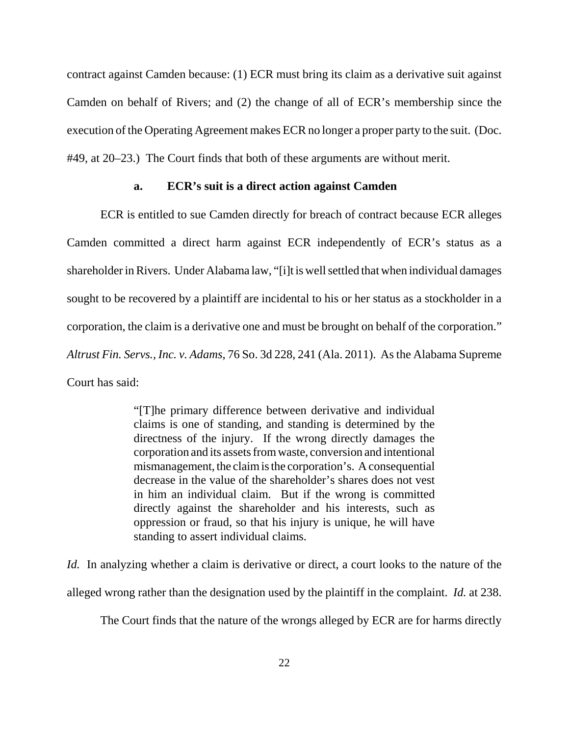contract against Camden because: (1) ECR must bring its claim as a derivative suit against Camden on behalf of Rivers; and (2) the change of all of ECR's membership since the execution of the Operating Agreement makes ECR no longer a proper party to the suit. (Doc. #49, at 20–23.) The Court finds that both of these arguments are without merit.

# **a. ECR's suit is a direct action against Camden**

ECR is entitled to sue Camden directly for breach of contract because ECR alleges Camden committed a direct harm against ECR independently of ECR's status as a shareholder in Rivers. Under Alabama law, "[i]t is well settled that when individual damages sought to be recovered by a plaintiff are incidental to his or her status as a stockholder in a corporation, the claim is a derivative one and must be brought on behalf of the corporation." *Altrust Fin. Servs., Inc. v. Adams*, 76 So. 3d 228, 241 (Ala. 2011). As the Alabama Supreme Court has said:

> "[T]he primary difference between derivative and individual claims is one of standing, and standing is determined by the directness of the injury. If the wrong directly damages the corporation and its assets from waste, conversion and intentional mismanagement, the claim is the corporation's. A consequential decrease in the value of the shareholder's shares does not vest in him an individual claim. But if the wrong is committed directly against the shareholder and his interests, such as oppression or fraud, so that his injury is unique, he will have standing to assert individual claims.

*Id.* In analyzing whether a claim is derivative or direct, a court looks to the nature of the alleged wrong rather than the designation used by the plaintiff in the complaint. *Id.* at 238.

The Court finds that the nature of the wrongs alleged by ECR are for harms directly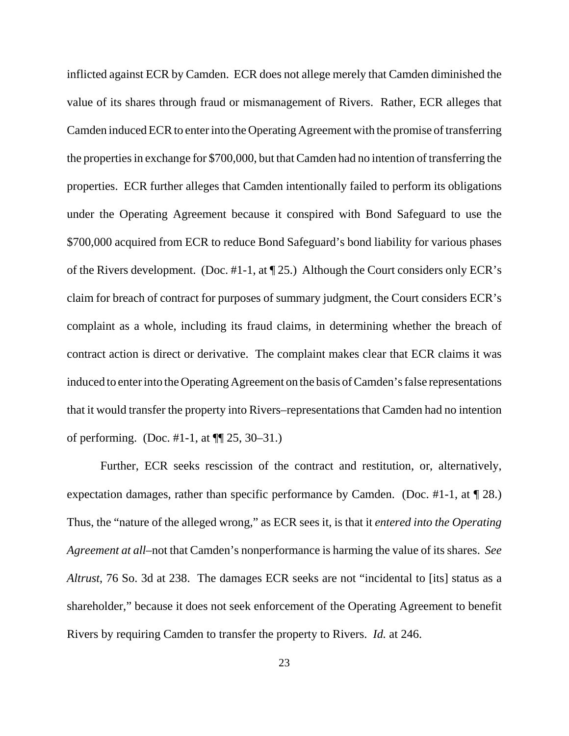inflicted against ECR by Camden. ECR does not allege merely that Camden diminished the value of its shares through fraud or mismanagement of Rivers. Rather, ECR alleges that Camden induced ECR to enter into the Operating Agreement with the promise of transferring the properties in exchange for \$700,000, but that Camden had no intention of transferring the properties. ECR further alleges that Camden intentionally failed to perform its obligations under the Operating Agreement because it conspired with Bond Safeguard to use the \$700,000 acquired from ECR to reduce Bond Safeguard's bond liability for various phases of the Rivers development. (Doc. #1-1, at ¶ 25.) Although the Court considers only ECR's claim for breach of contract for purposes of summary judgment, the Court considers ECR's complaint as a whole, including its fraud claims, in determining whether the breach of contract action is direct or derivative. The complaint makes clear that ECR claims it was induced to enter into the Operating Agreement on the basis of Camden's false representations that it would transfer the property into Rivers–representations that Camden had no intention of performing. (Doc. #1-1, at ¶¶ 25, 30–31.)

Further, ECR seeks rescission of the contract and restitution, or, alternatively, expectation damages, rather than specific performance by Camden. (Doc. #1-1, at ¶ 28.) Thus, the "nature of the alleged wrong," as ECR sees it, is that it *entered into the Operating Agreement at all*–not that Camden's nonperformance is harming the value of its shares. *See Altrust*, 76 So. 3d at 238. The damages ECR seeks are not "incidental to [its] status as a shareholder," because it does not seek enforcement of the Operating Agreement to benefit Rivers by requiring Camden to transfer the property to Rivers. *Id.* at 246.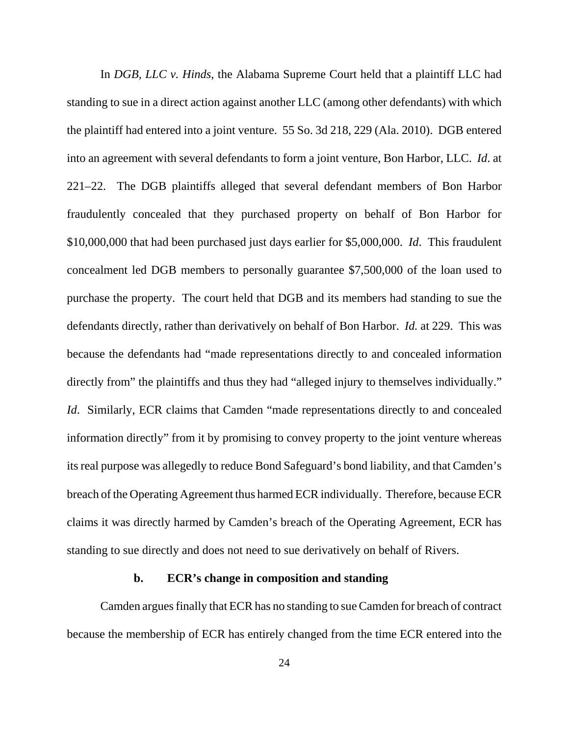In *DGB, LLC v. Hinds*, the Alabama Supreme Court held that a plaintiff LLC had standing to sue in a direct action against another LLC (among other defendants) with which the plaintiff had entered into a joint venture. 55 So. 3d 218, 229 (Ala. 2010). DGB entered into an agreement with several defendants to form a joint venture, Bon Harbor, LLC. *Id*. at 221–22. The DGB plaintiffs alleged that several defendant members of Bon Harbor fraudulently concealed that they purchased property on behalf of Bon Harbor for \$10,000,000 that had been purchased just days earlier for \$5,000,000. *Id*. This fraudulent concealment led DGB members to personally guarantee \$7,500,000 of the loan used to purchase the property. The court held that DGB and its members had standing to sue the defendants directly, rather than derivatively on behalf of Bon Harbor. *Id.* at 229. This was because the defendants had "made representations directly to and concealed information directly from" the plaintiffs and thus they had "alleged injury to themselves individually." *Id.* Similarly, ECR claims that Camden "made representations directly to and concealed information directly" from it by promising to convey property to the joint venture whereas its real purpose was allegedly to reduce Bond Safeguard's bond liability, and that Camden's breach of the Operating Agreement thus harmed ECR individually. Therefore, because ECR claims it was directly harmed by Camden's breach of the Operating Agreement, ECR has standing to sue directly and does not need to sue derivatively on behalf of Rivers.

# **b. ECR's change in composition and standing**

Camden argues finally that ECR has no standing to sue Camden for breach of contract because the membership of ECR has entirely changed from the time ECR entered into the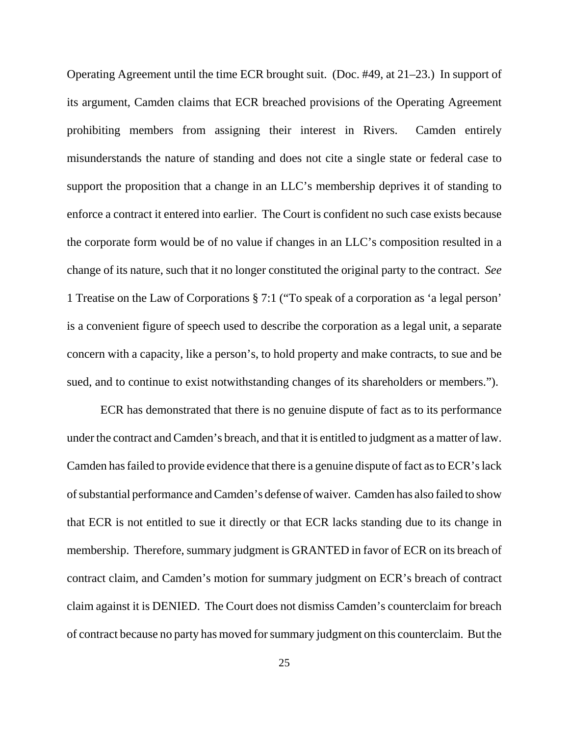Operating Agreement until the time ECR brought suit. (Doc. #49, at 21–23.) In support of its argument, Camden claims that ECR breached provisions of the Operating Agreement prohibiting members from assigning their interest in Rivers. Camden entirely misunderstands the nature of standing and does not cite a single state or federal case to support the proposition that a change in an LLC's membership deprives it of standing to enforce a contract it entered into earlier. The Court is confident no such case exists because the corporate form would be of no value if changes in an LLC's composition resulted in a change of its nature, such that it no longer constituted the original party to the contract. *See* 1 Treatise on the Law of Corporations § 7:1 ("To speak of a corporation as 'a legal person' is a convenient figure of speech used to describe the corporation as a legal unit, a separate concern with a capacity, like a person's, to hold property and make contracts, to sue and be sued, and to continue to exist notwithstanding changes of its shareholders or members.").

ECR has demonstrated that there is no genuine dispute of fact as to its performance under the contract and Camden's breach, and that it is entitled to judgment as a matter of law. Camden has failed to provide evidence that there is a genuine dispute of fact as to ECR's lack of substantial performance and Camden's defense of waiver. Camden has also failed to show that ECR is not entitled to sue it directly or that ECR lacks standing due to its change in membership. Therefore, summary judgment is GRANTED in favor of ECR on its breach of contract claim, and Camden's motion for summary judgment on ECR's breach of contract claim against it is DENIED. The Court does not dismiss Camden's counterclaim for breach of contract because no party has moved for summary judgment on this counterclaim. But the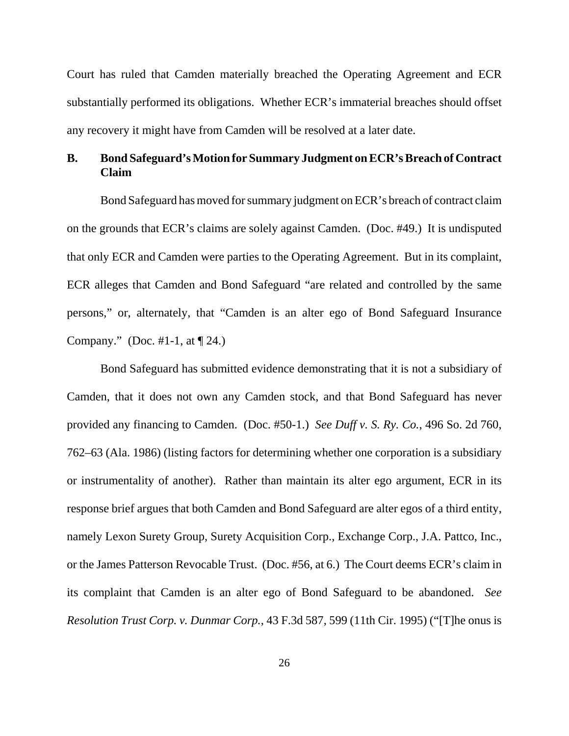Court has ruled that Camden materially breached the Operating Agreement and ECR substantially performed its obligations. Whether ECR's immaterial breaches should offset any recovery it might have from Camden will be resolved at a later date.

# **B. Bond Safeguard's Motion for Summary Judgment on ECR's Breach of Contract Claim**

Bond Safeguard has moved for summary judgment on ECR's breach of contract claim on the grounds that ECR's claims are solely against Camden. (Doc. #49.) It is undisputed that only ECR and Camden were parties to the Operating Agreement. But in its complaint, ECR alleges that Camden and Bond Safeguard "are related and controlled by the same persons," or, alternately, that "Camden is an alter ego of Bond Safeguard Insurance Company." (Doc. #1-1, at  $\P$  24.)

Bond Safeguard has submitted evidence demonstrating that it is not a subsidiary of Camden, that it does not own any Camden stock, and that Bond Safeguard has never provided any financing to Camden. (Doc. #50-1.) *See Duff v. S. Ry. Co.*, 496 So. 2d 760, 762–63 (Ala. 1986) (listing factors for determining whether one corporation is a subsidiary or instrumentality of another). Rather than maintain its alter ego argument, ECR in its response brief argues that both Camden and Bond Safeguard are alter egos of a third entity, namely Lexon Surety Group, Surety Acquisition Corp., Exchange Corp., J.A. Pattco, Inc., or the James Patterson Revocable Trust. (Doc. #56, at 6.) The Court deems ECR's claim in its complaint that Camden is an alter ego of Bond Safeguard to be abandoned. *See Resolution Trust Corp. v. Dunmar Corp.*, 43 F.3d 587, 599 (11th Cir. 1995) ("[T]he onus is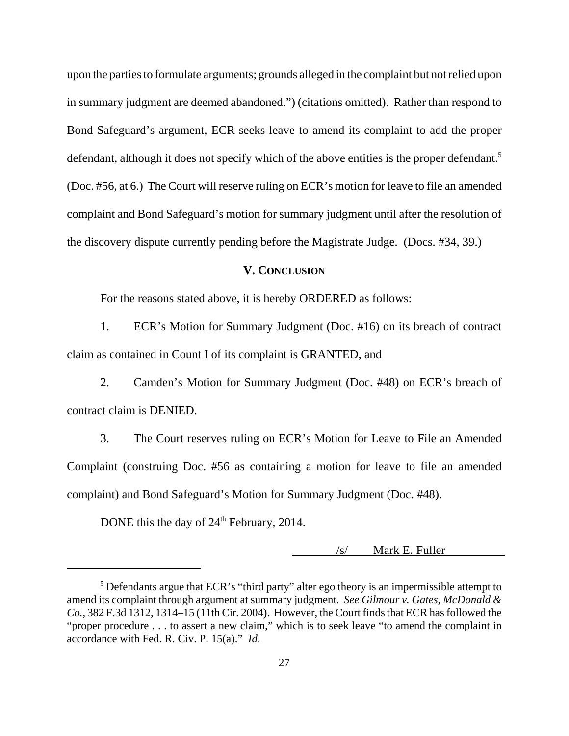upon the parties to formulate arguments; grounds alleged in the complaint but not relied upon in summary judgment are deemed abandoned.") (citations omitted). Rather than respond to Bond Safeguard's argument, ECR seeks leave to amend its complaint to add the proper defendant, although it does not specify which of the above entities is the proper defendant.<sup>5</sup> (Doc. #56, at 6.) The Court will reserve ruling on ECR's motion for leave to file an amended complaint and Bond Safeguard's motion for summary judgment until after the resolution of the discovery dispute currently pending before the Magistrate Judge. (Docs. #34, 39.)

# **V. CONCLUSION**

For the reasons stated above, it is hereby ORDERED as follows:

1. ECR's Motion for Summary Judgment (Doc. #16) on its breach of contract claim as contained in Count I of its complaint is GRANTED, and

2. Camden's Motion for Summary Judgment (Doc. #48) on ECR's breach of contract claim is DENIED.

3. The Court reserves ruling on ECR's Motion for Leave to File an Amended Complaint (construing Doc. #56 as containing a motion for leave to file an amended complaint) and Bond Safeguard's Motion for Summary Judgment (Doc. #48).

DONE this the day of  $24<sup>th</sup>$  February, 2014.

/s/ Mark E. Fuller

<sup>&</sup>lt;sup>5</sup> Defendants argue that ECR's "third party" alter ego theory is an impermissible attempt to amend its complaint through argument at summary judgment. *See Gilmour v. Gates, McDonald & Co.*, 382 F.3d 1312, 1314–15 (11th Cir. 2004). However, the Court finds that ECR has followed the "proper procedure . . . to assert a new claim," which is to seek leave "to amend the complaint in accordance with Fed. R. Civ. P. 15(a)." *Id*.